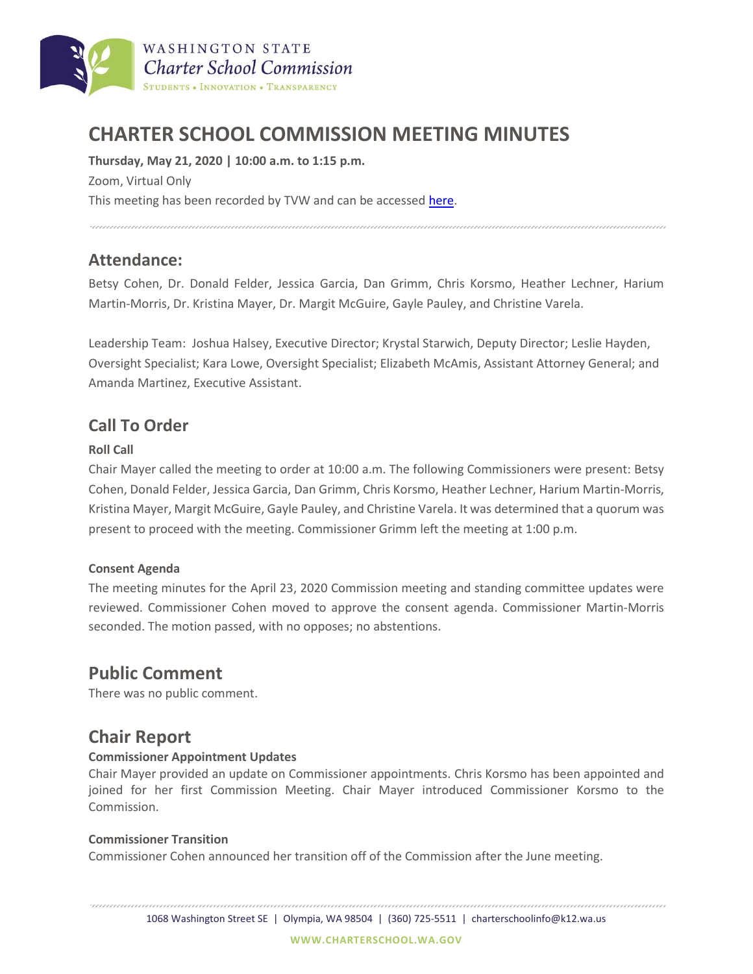

# **CHARTER SCHOOL COMMISSION MEETING MINUTES**

**Thursday, May 21, 2020 | 10:00 a.m. to 1:15 p.m.** Zoom, Virtual Only This meeting has been recorded by TVW and can be accesse[d here.](https://www.tvw.org/watch/?eventID=2020051072)

#### 

### **Attendance:**

Betsy Cohen, Dr. Donald Felder, Jessica Garcia, Dan Grimm, Chris Korsmo, Heather Lechner, Harium Martin-Morris, Dr. Kristina Mayer, Dr. Margit McGuire, Gayle Pauley, and Christine Varela.

Leadership Team: Joshua Halsey, Executive Director; Krystal Starwich, Deputy Director; Leslie Hayden, Oversight Specialist; Kara Lowe, Oversight Specialist; Elizabeth McAmis, Assistant Attorney General; and Amanda Martinez, Executive Assistant.

### **Call To Order**

#### **Roll Call**

Chair Mayer called the meeting to order at 10:00 a.m. The following Commissioners were present: Betsy Cohen, Donald Felder, Jessica Garcia, Dan Grimm, Chris Korsmo, Heather Lechner, Harium Martin-Morris, Kristina Mayer, Margit McGuire, Gayle Pauley, and Christine Varela. It was determined that a quorum was present to proceed with the meeting. Commissioner Grimm left the meeting at 1:00 p.m.

#### **Consent Agenda**

The meeting minutes for the April 23, 2020 Commission meeting and standing committee updates were reviewed. Commissioner Cohen moved to approve the consent agenda. Commissioner Martin-Morris seconded. The motion passed, with no opposes; no abstentions.

# **Public Comment**

There was no public comment.

### **Chair Report**

#### **Commissioner Appointment Updates**

Chair Mayer provided an update on Commissioner appointments. Chris Korsmo has been appointed and joined for her first Commission Meeting. Chair Mayer introduced Commissioner Korsmo to the Commission.

#### **Commissioner Transition**

Commissioner Cohen announced her transition off of the Commission after the June meeting.

1068 Washington Street SE | Olympia, WA 98504 | (360) 725-5511 | charterschoolinfo@k12.wa.us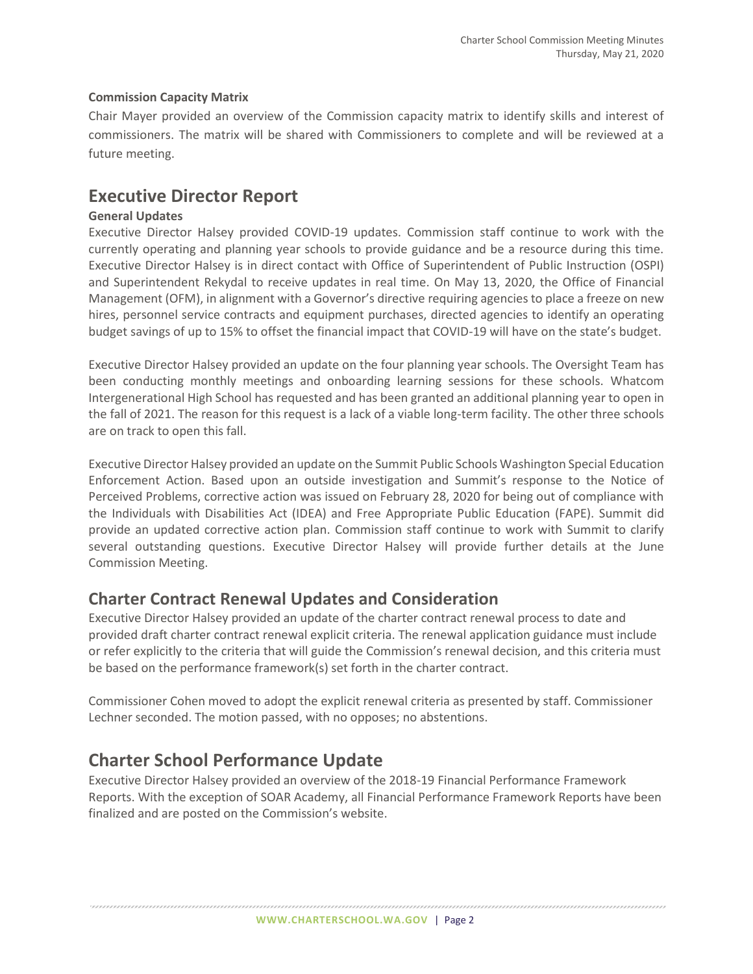#### **Commission Capacity Matrix**

Chair Mayer provided an overview of the Commission capacity matrix to identify skills and interest of commissioners. The matrix will be shared with Commissioners to complete and will be reviewed at a future meeting.

### **Executive Director Report**

#### **General Updates**

Executive Director Halsey provided COVID-19 updates. Commission staff continue to work with the currently operating and planning year schools to provide guidance and be a resource during this time. Executive Director Halsey is in direct contact with Office of Superintendent of Public Instruction (OSPI) and Superintendent Rekydal to receive updates in real time. On May 13, 2020, the Office of Financial Management (OFM), in alignment with a Governor's directive requiring agencies to place a freeze on new hires, personnel service contracts and equipment purchases, directed agencies to identify an operating budget savings of up to 15% to offset the financial impact that COVID-19 will have on the state's budget.

Executive Director Halsey provided an update on the four planning year schools. The Oversight Team has been conducting monthly meetings and onboarding learning sessions for these schools. Whatcom Intergenerational High School has requested and has been granted an additional planning year to open in the fall of 2021. The reason for this request is a lack of a viable long-term facility. The other three schools are on track to open this fall.

Executive Director Halsey provided an update on the Summit Public Schools Washington Special Education Enforcement Action. Based upon an outside investigation and Summit's response to the Notice of Perceived Problems, corrective action was issued on February 28, 2020 for being out of compliance with the Individuals with Disabilities Act (IDEA) and Free Appropriate Public Education (FAPE). Summit did provide an updated corrective action plan. Commission staff continue to work with Summit to clarify several outstanding questions. Executive Director Halsey will provide further details at the June Commission Meeting.

### **Charter Contract Renewal Updates and Consideration**

Executive Director Halsey provided an update of the charter contract renewal process to date and provided draft charter contract renewal explicit criteria. The renewal application guidance must include or refer explicitly to the criteria that will guide the Commission's renewal decision, and this criteria must be based on the performance framework(s) set forth in the charter contract.

Commissioner Cohen moved to adopt the explicit renewal criteria as presented by staff. Commissioner Lechner seconded. The motion passed, with no opposes; no abstentions.

# **Charter School Performance Update**

Executive Director Halsey provided an overview of the 2018-19 Financial Performance Framework Reports. With the exception of SOAR Academy, all Financial Performance Framework Reports have been finalized and are posted on the Commission's website.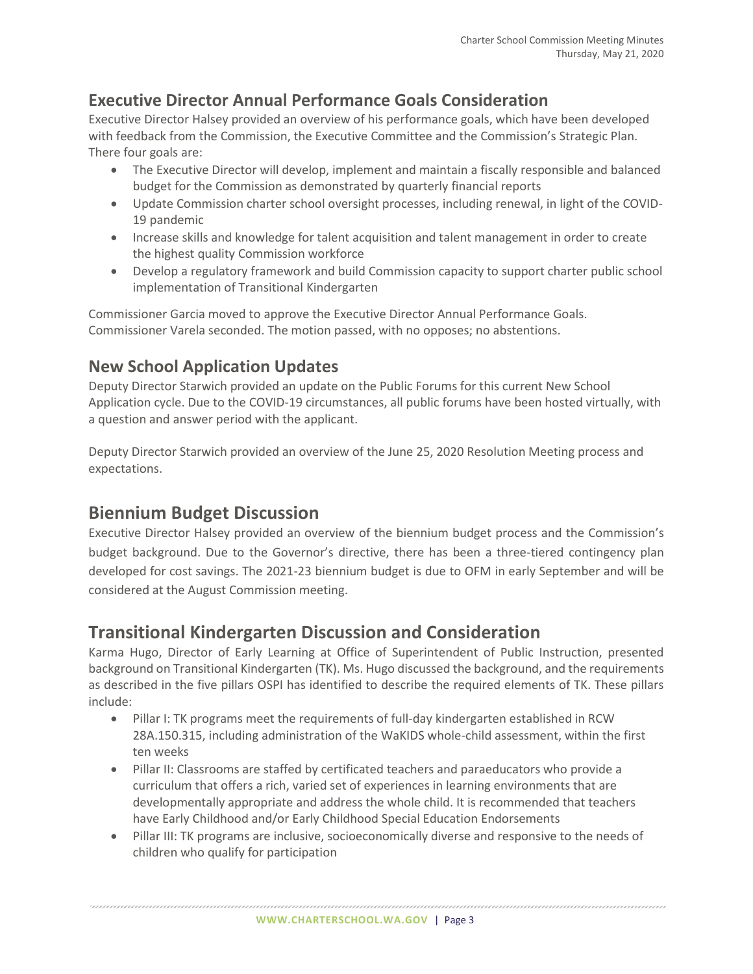# **Executive Director Annual Performance Goals Consideration**

Executive Director Halsey provided an overview of his performance goals, which have been developed with feedback from the Commission, the Executive Committee and the Commission's Strategic Plan. There four goals are:

- The Executive Director will develop, implement and maintain a fiscally responsible and balanced budget for the Commission as demonstrated by quarterly financial reports
- Update Commission charter school oversight processes, including renewal, in light of the COVID-19 pandemic
- Increase skills and knowledge for talent acquisition and talent management in order to create the highest quality Commission workforce
- Develop a regulatory framework and build Commission capacity to support charter public school implementation of Transitional Kindergarten

Commissioner Garcia moved to approve the Executive Director Annual Performance Goals. Commissioner Varela seconded. The motion passed, with no opposes; no abstentions.

# **New School Application Updates**

Deputy Director Starwich provided an update on the Public Forums for this current New School Application cycle. Due to the COVID-19 circumstances, all public forums have been hosted virtually, with a question and answer period with the applicant.

Deputy Director Starwich provided an overview of the June 25, 2020 Resolution Meeting process and expectations.

# **Biennium Budget Discussion**

Executive Director Halsey provided an overview of the biennium budget process and the Commission's budget background. Due to the Governor's directive, there has been a three-tiered contingency plan developed for cost savings. The 2021-23 biennium budget is due to OFM in early September and will be considered at the August Commission meeting.

# **Transitional Kindergarten Discussion and Consideration**

Karma Hugo, Director of Early Learning at Office of Superintendent of Public Instruction, presented background on Transitional Kindergarten (TK). Ms. Hugo discussed the background, and the requirements as described in the five pillars OSPI has identified to describe the required elements of TK. These pillars include:

- Pillar I: TK programs meet the requirements of full-day kindergarten established in RCW 28A.150.315, including administration of the WaKIDS whole-child assessment, within the first ten weeks
- Pillar II: Classrooms are staffed by certificated teachers and paraeducators who provide a curriculum that offers a rich, varied set of experiences in learning environments that are developmentally appropriate and address the whole child. It is recommended that teachers have Early Childhood and/or Early Childhood Special Education Endorsements
- Pillar III: TK programs are inclusive, socioeconomically diverse and responsive to the needs of children who qualify for participation